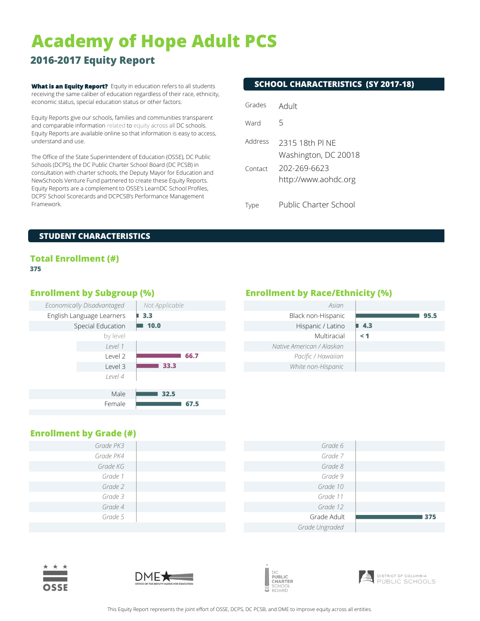# **Academy of Hope Adult PCS**

## **2016-2017 Equity Report**

**What is an Equity Report?** Equity in education refers to all students receiving the same caliber of education regardless of their race, ethnicity, economic status, special education status or other factors.

Equity Reports give our schools, families and communities transparent and comparable information related to equity across all DC schools. Equity Reports are available online so that information is easy to access, understand and use.

The Office of the State Superintendent of Education (OSSE), DC Public Schools (DCPS), the DC Public Charter School Board (DC PCSB) in consultation with charter schools, the Deputy Mayor for Education and NewSchools Venture Fund partnered to create these Equity Reports. Equity Reports are a complement to OSSE's LearnDC School Profiles, DCPS' School Scorecards and DCPCSB's Performance Management Framework.

### **SCHOOL CHARACTERISTICS (SY 2017-18)**

| Grades  | Adult                                   |
|---------|-----------------------------------------|
| Ward    | 5                                       |
| Address | 2315 18th PI NF<br>Washington, DC 20018 |
| Contact | 202-269-6623<br>http://www.aohdc.org    |
|         | Public Charter School                   |

### **STUDENT CHARACTERISTICS**

### **Total Enrollment (#) 375**



### **Enrollment by Subgroup (%) Enrollment by Race/Ethnicity (%)**

| Asian                     |          |
|---------------------------|----------|
| Black non-Hispanic        | 95.5     |
| Hispanic / Latino         | 4.3      |
| Multiracial               | $\leq 1$ |
| Native American / Alaskan |          |
| Pacific / Hawaiian        |          |
| White non-Hispanic        |          |

### **Enrollment by Grade (#)**

| Grade PK3 | Grade 6        |     |
|-----------|----------------|-----|
| Grade PK4 | Grade 7        |     |
| Grade KG  | Grade 8        |     |
| Grade 1   | Grade 9        |     |
| Grade 2   | Grade 10       |     |
| Grade 3   | Grade 11       |     |
| Grade 4   | Grade 12       |     |
| Grade 5   | Grade Adult    | 375 |
|           | Grade Ungraded |     |







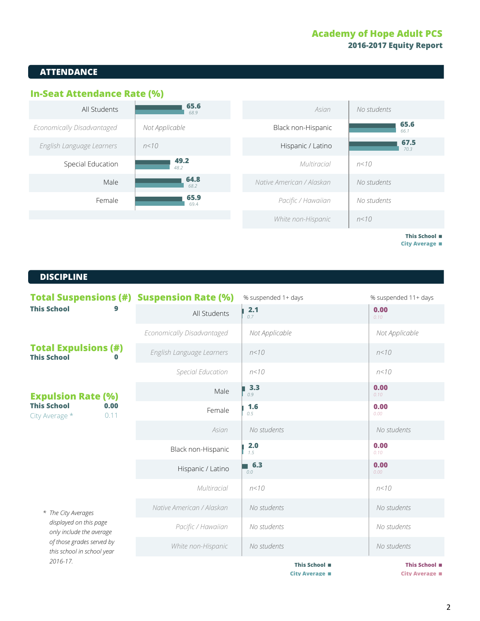### **Academy of Hope Adult PCS 2016-2017 Equity Report**

### **ATTENDANCE**





**This School** < **City Average** <

### **DISCIPLINE DISCIPLINE**

| <b>Total Suspensions (#) Suspension Rate (%)</b><br><b>This School</b>                                                                           |                            | % suspended 1+ days | % suspended 11+ days |
|--------------------------------------------------------------------------------------------------------------------------------------------------|----------------------------|---------------------|----------------------|
|                                                                                                                                                  | All Students               | 2.1<br>0.7          | 0.00<br>0.10         |
|                                                                                                                                                  | Economically Disadvantaged | Not Applicable      | Not Applicable       |
| <b>Total Expulsions (#)</b><br><b>This School</b>                                                                                                | English Language Learners  | n < 10              | n < 10               |
|                                                                                                                                                  | Special Education          | n < 10              | n < 10               |
| <b>Expulsion Rate (%)</b>                                                                                                                        | Male                       | 3.3<br>0.9          | 0.00<br>0.10         |
| <b>This School</b><br>0.00<br>0.11<br>City Average *                                                                                             | Female                     | 1.6<br>0.5          | 0.00<br>0.00         |
|                                                                                                                                                  | Asian                      | No students         | No students          |
|                                                                                                                                                  | Black non-Hispanic         | 2.0<br>1.5          | 0.00<br>0.10         |
|                                                                                                                                                  | Hispanic / Latino          | 6.3<br>0.0          | 0.00<br>0.00         |
|                                                                                                                                                  | Multiracial                | n < 10              | n < 10               |
| * The City Averages<br>displayed on this page<br>only include the average<br>of those grades served by<br>this school in school year<br>2016-17. | Native American / Alaskan  | No students         | No students          |
|                                                                                                                                                  | Pacific / Hawaiian         | No students         | No students          |
|                                                                                                                                                  | White non-Hispanic         | No students         | No students          |
|                                                                                                                                                  |                            | This School ■       | This School ■        |

**City Average**  $\blacksquare$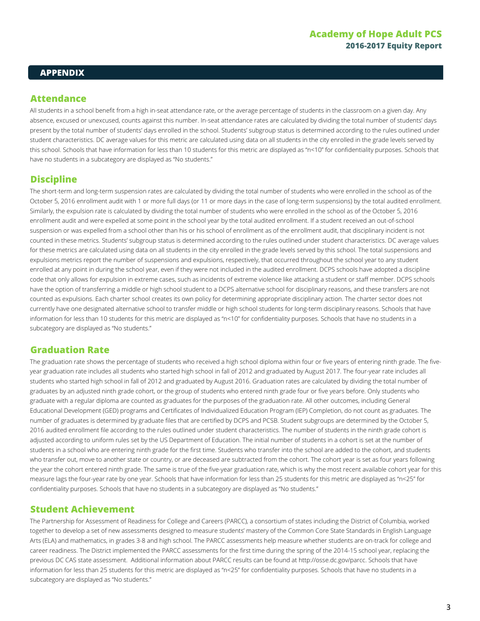### **APPENDIX**

### **Attendance**

All students in a school benefit from a high in-seat attendance rate, or the average percentage of students in the classroom on a given day. Any absence, excused or unexcused, counts against this number. In-seat attendance rates are calculated by dividing the total number of students' days present by the total number of students' days enrolled in the school. Students' subgroup status is determined according to the rules outlined under student characteristics. DC average values for this metric are calculated using data on all students in the city enrolled in the grade levels served by this school. Schools that have information for less than 10 students for this metric are displayed as "n<10" for confidentiality purposes. Schools that have no students in a subcategory are displayed as "No students."

### **Discipline**

The short-term and long-term suspension rates are calculated by dividing the total number of students who were enrolled in the school as of the October 5, 2016 enrollment audit with 1 or more full days (or 11 or more days in the case of long-term suspensions) by the total audited enrollment. Similarly, the expulsion rate is calculated by dividing the total number of students who were enrolled in the school as of the October 5, 2016 enrollment audit and were expelled at some point in the school year by the total audited enrollment. If a student received an out-of-school suspension or was expelled from a school other than his or his school of enrollment as of the enrollment audit, that disciplinary incident is not counted in these metrics. Students' subgroup status is determined according to the rules outlined under student characteristics. DC average values for these metrics are calculated using data on all students in the city enrolled in the grade levels served by this school. The total suspensions and expulsions metrics report the number of suspensions and expulsions, respectively, that occurred throughout the school year to any student enrolled at any point in during the school year, even if they were not included in the audited enrollment. DCPS schools have adopted a discipline code that only allows for expulsion in extreme cases, such as incidents of extreme violence like attacking a student or staff member. DCPS schools have the option of transferring a middle or high school student to a DCPS alternative school for disciplinary reasons, and these transfers are not counted as expulsions. Each charter school creates its own policy for determining appropriate disciplinary action. The charter sector does not currently have one designated alternative school to transfer middle or high school students for long-term disciplinary reasons. Schools that have information for less than 10 students for this metric are displayed as "n<10" for confidentiality purposes. Schools that have no students in a subcategory are displayed as "No students."

### **Graduation Rate**

The graduation rate shows the percentage of students who received a high school diploma within four or five years of entering ninth grade. The fiveyear graduation rate includes all students who started high school in fall of 2012 and graduated by August 2017. The four-year rate includes all students who started high school in fall of 2012 and graduated by August 2016. Graduation rates are calculated by dividing the total number of graduates by an adjusted ninth grade cohort, or the group of students who entered ninth grade four or five years before. Only students who graduate with a regular diploma are counted as graduates for the purposes of the graduation rate. All other outcomes, including General Educational Development (GED) programs and Certificates of Individualized Education Program (IEP) Completion, do not count as graduates. The number of graduates is determined by graduate files that are certified by DCPS and PCSB. Student subgroups are determined by the October 5, 2016 audited enrollment file according to the rules outlined under student characteristics. The number of students in the ninth grade cohort is adjusted according to uniform rules set by the US Department of Education. The initial number of students in a cohort is set at the number of students in a school who are entering ninth grade for the first time. Students who transfer into the school are added to the cohort, and students who transfer out, move to another state or country, or are deceased are subtracted from the cohort. The cohort year is set as four years following the year the cohort entered ninth grade. The same is true of the five-year graduation rate, which is why the most recent available cohort year for this measure lags the four-year rate by one year. Schools that have information for less than 25 students for this metric are displayed as "n<25" for confidentiality purposes. Schools that have no students in a subcategory are displayed as "No students."

### **Student Achievement**

The Partnership for Assessment of Readiness for College and Careers (PARCC), a consortium of states including the District of Columbia, worked together to develop a set of new assessments designed to measure students' mastery of the Common Core State Standards in English Language Arts (ELA) and mathematics, in grades 3-8 and high school. The PARCC assessments help measure whether students are on-track for college and career readiness. The District implemented the PARCC assessments for the first time during the spring of the 2014-15 school year, replacing the previous DC CAS state assessment. Additional information about PARCC results can be found at http://osse.dc.gov/parcc. Schools that have information for less than 25 students for this metric are displayed as "n<25" for confidentiality purposes. Schools that have no students in a subcategory are displayed as "No students."